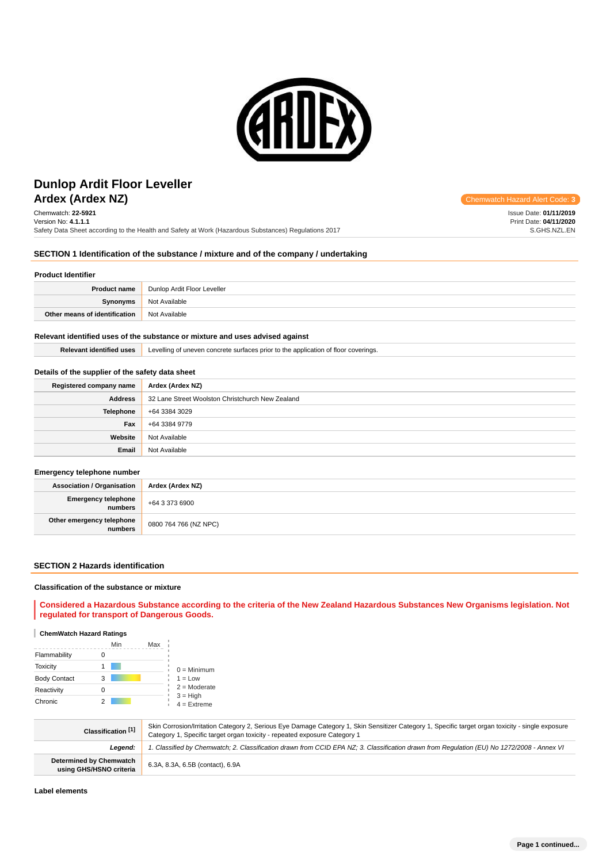

# **Ardex (Ardex NZ) Chemwatch Hazard Alert** Communication Controllering Communication Controllering Chemwatch Hazard Alert Controllering Communication Controllering Communication Controllering Communication Controllering C **Dunlop Ardit Floor Leveller**

Chemwatch: **22-5921** Version No: **4.1.1.1** Safety Data Sheet according to the Health and Safety at Work (Hazardous Substances) Regulations 2017

# **SECTION 1 Identification of the substance / mixture and of the company / undertaking**

#### **Product Identifier**

| <b>Product name</b>           | Dunlop Ardit Floor Leveller |
|-------------------------------|-----------------------------|
| Synonyms                      | Not Available               |
| Other means of identification | Not Available               |

#### **Relevant identified uses of the substance or mixture and uses advised against**

**Relevant identified uses** Levelling of uneven concrete surfaces prior to the application of floor coverings.

### **Details of the supplier of the safety data sheet**

| Registered company name | Ardex (Ardex NZ)                                 |
|-------------------------|--------------------------------------------------|
| <b>Address</b>          | 32 Lane Street Woolston Christchurch New Zealand |
| <b>Telephone</b>        | +64 3384 3029                                    |
| Fax                     | +64 3384 9779                                    |
| Website                 | Not Available                                    |
| Email                   | Not Available                                    |

#### **Emergency telephone number**

| <b>Association / Organisation</b> | Ardex (Ardex NZ)      |
|-----------------------------------|-----------------------|
| Emergency telephone               | $+6433736900$         |
| Other emergency telephone         | 0800 764 766 (NZ NPC) |

### **SECTION 2 Hazards identification**

#### **Classification of the substance or mixture**

**Considered a Hazardous Substance according to the criteria of the New Zealand Hazardous Substances New Organisms legislation. Not regulated for transport of Dangerous Goods.**

### **ChemWatch Hazard Ratings**

|                     | Min | Max |                             |
|---------------------|-----|-----|-----------------------------|
| Flammability        |     |     |                             |
| <b>Toxicity</b>     |     |     | $0 =$ Minimum               |
| <b>Body Contact</b> | 3   |     | $1 = Low$                   |
| Reactivity          |     |     | $2 =$ Moderate              |
| Chronic             |     |     | $3 = High$<br>$4 =$ Extreme |

| Classification [1]                                 | Skin Corrosion/Irritation Category 2, Serious Eye Damage Category 1, Skin Sensitizer Category 1, Specific target organ toxicity - single exposure<br>Category 1, Specific target organ toxicity - repeated exposure Category 1 |
|----------------------------------------------------|--------------------------------------------------------------------------------------------------------------------------------------------------------------------------------------------------------------------------------|
| Leaend:                                            | 1. Classified by Chemwatch; 2. Classification drawn from CCID EPA NZ; 3. Classification drawn from Regulation (EU) No 1272/2008 - Annex VI                                                                                     |
| Determined by Chemwatch<br>using GHS/HSNO criteria | 6.3A, 8.3A, 6.5B (contact), 6.9A                                                                                                                                                                                               |

Issue Date: **01/11/2019** Print Date: **04/11/2020** S.GHS.NZL.EN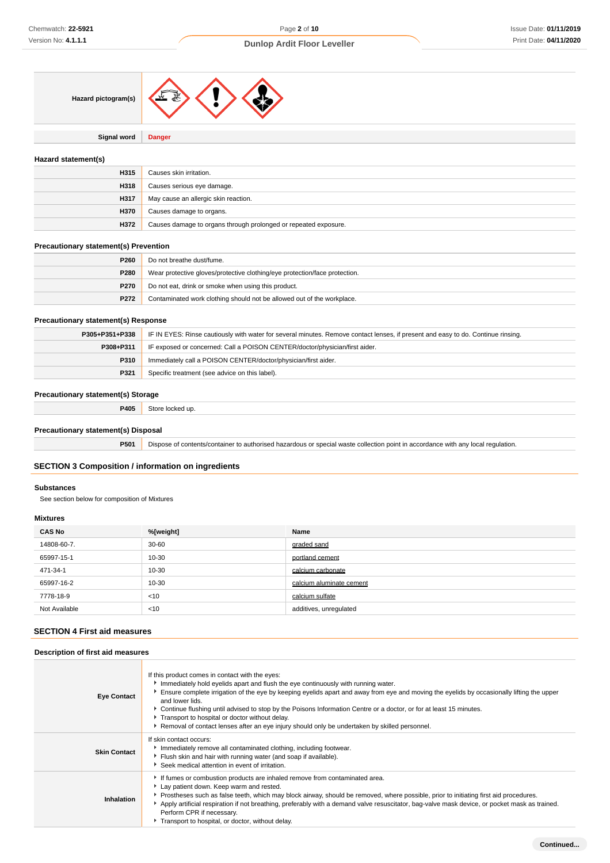

**Signal word Danger**

## **Hazard statement(s)**

| H315        | Causes skin irritation.                                         |
|-------------|-----------------------------------------------------------------|
| H318        | Causes serious eye damage.                                      |
| H317        | May cause an allergic skin reaction.                            |
| <b>H370</b> | Causes damage to organs.                                        |
| H372        | Causes damage to organs through prolonged or repeated exposure. |

## **Precautionary statement(s) Prevention**

| P260        | Do not breathe dust/fume.                                                  |
|-------------|----------------------------------------------------------------------------|
| P280        | Wear protective gloves/protective clothing/eye protection/face protection. |
| <b>P270</b> | Do not eat, drink or smoke when using this product.                        |
| P272        | Contaminated work clothing should not be allowed out of the workplace.     |

### **Precautionary statement(s) Response**

| P305+P351+P338 | IF IN EYES: Rinse cautiously with water for several minutes. Remove contact lenses, if present and easy to do. Continue rinsing. |
|----------------|----------------------------------------------------------------------------------------------------------------------------------|
| P308+P311      | IF exposed or concerned: Call a POISON CENTER/doctor/physician/first aider.                                                      |
| P310           | Immediately call a POISON CENTER/doctor/physician/first aider.                                                                   |
| P321           | Specific treatment (see advice on this label).                                                                                   |

# **Precautionary statement(s) Storage**

**P405** Store locked up.

# **Precautionary statement(s) Disposal**

**P501** Dispose of contents/container to authorised hazardous or special waste collection point in accordance with any local regulation.

# **SECTION 3 Composition / information on ingredients**

### **Substances**

See section below for composition of Mixtures

## **Mixtures**

| <b>CAS No</b> | %[weight] | Name                     |
|---------------|-----------|--------------------------|
| 14808-60-7.   | $30 - 60$ | graded sand              |
| 65997-15-1    | 10-30     | portland cement          |
| 471-34-1      | 10-30     | calcium carbonate        |
| 65997-16-2    | 10-30     | calcium aluminate cement |
| 7778-18-9     | < 10      | calcium sulfate          |
| Not Available | < 10      | additives, unregulated   |

# **SECTION 4 First aid measures**

#### **Description of first aid measures**

| <b>Eye Contact</b>  | If this product comes in contact with the eyes:<br>Immediately hold eyelids apart and flush the eye continuously with running water.<br>Ensure complete irrigation of the eye by keeping eyelids apart and away from eye and moving the eyelids by occasionally lifting the upper<br>and lower lids.<br>Continue flushing until advised to stop by the Poisons Information Centre or a doctor, or for at least 15 minutes.<br>Transport to hospital or doctor without delay.<br>Removal of contact lenses after an eye injury should only be undertaken by skilled personnel. |
|---------------------|-------------------------------------------------------------------------------------------------------------------------------------------------------------------------------------------------------------------------------------------------------------------------------------------------------------------------------------------------------------------------------------------------------------------------------------------------------------------------------------------------------------------------------------------------------------------------------|
| <b>Skin Contact</b> | If skin contact occurs:<br>Immediately remove all contaminated clothing, including footwear.<br>Flush skin and hair with running water (and soap if available).<br>Seek medical attention in event of irritation.                                                                                                                                                                                                                                                                                                                                                             |
| Inhalation          | If fumes or combustion products are inhaled remove from contaminated area.<br>Lay patient down. Keep warm and rested.<br>▶ Prostheses such as false teeth, which may block airway, should be removed, where possible, prior to initiating first aid procedures.<br>Apply artificial respiration if not breathing, preferably with a demand valve resuscitator, bag-valve mask device, or pocket mask as trained.<br>Perform CPR if necessary.<br>Transport to hospital, or doctor, without delay.                                                                             |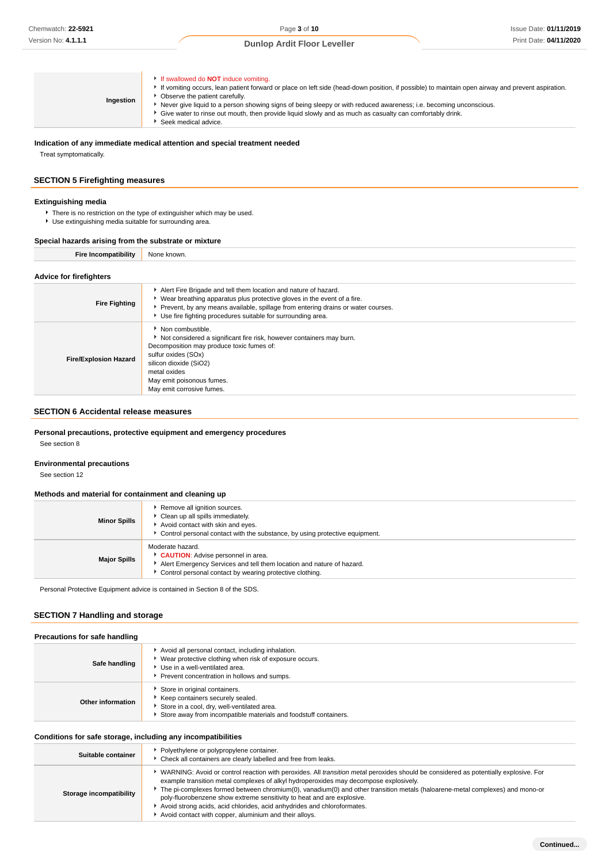| If swallowed do <b>NOT</b> induce vomiting.<br>If vomiting occurs, lean patient forward or place on left side (head-down position, if possible) to maintain open airway and prevent aspiration.<br>Observe the patient carefully.<br>Ingestion<br>Never give liquid to a person showing signs of being sleepy or with reduced awareness; i.e. becoming unconscious.<br>Give water to rinse out mouth, then provide liquid slowly and as much as casualty can comfortably drink.<br>Seek medical advice. |  |
|---------------------------------------------------------------------------------------------------------------------------------------------------------------------------------------------------------------------------------------------------------------------------------------------------------------------------------------------------------------------------------------------------------------------------------------------------------------------------------------------------------|--|
|---------------------------------------------------------------------------------------------------------------------------------------------------------------------------------------------------------------------------------------------------------------------------------------------------------------------------------------------------------------------------------------------------------------------------------------------------------------------------------------------------------|--|

**Indication of any immediate medical attention and special treatment needed** Treat symptomatically.

# **SECTION 5 Firefighting measures**

### **Extinguishing media**

- **F** There is no restriction on the type of extinguisher which may be used.
- Use extinguishing media suitable for surrounding area.

### **Special hazards arising from the substrate or mixture**

| <b>Fire Incompatibility</b>  | None known.                                                                                                                                                                                                                                                                                     |
|------------------------------|-------------------------------------------------------------------------------------------------------------------------------------------------------------------------------------------------------------------------------------------------------------------------------------------------|
| Advice for firefighters      |                                                                                                                                                                                                                                                                                                 |
| <b>Fire Fighting</b>         | Alert Fire Brigade and tell them location and nature of hazard.<br>► Wear breathing apparatus plus protective gloves in the event of a fire.<br>Prevent, by any means available, spillage from entering drains or water courses.<br>Use fire fighting procedures suitable for surrounding area. |
| <b>Fire/Explosion Hazard</b> | • Non combustible.<br>Not considered a significant fire risk, however containers may burn.<br>Decomposition may produce toxic fumes of:<br>sulfur oxides (SOx)<br>silicon dioxide (SiO2)<br>metal oxides<br>May emit poisonous fumes.                                                           |

### **SECTION 6 Accidental release measures**

**Personal precautions, protective equipment and emergency procedures**

May emit corrosive fumes.

See section 8

# **Environmental precautions**

See section 12

### **Methods and material for containment and cleaning up**

| <b>Minor Spills</b> | Remove all ignition sources.<br>Clean up all spills immediately.<br>Avoid contact with skin and eyes.<br>Control personal contact with the substance, by using protective equipment.        |
|---------------------|---------------------------------------------------------------------------------------------------------------------------------------------------------------------------------------------|
| <b>Major Spills</b> | Moderate hazard.<br>CAUTION: Advise personnel in area.<br>Alert Emergency Services and tell them location and nature of hazard.<br>Control personal contact by wearing protective clothing. |

Personal Protective Equipment advice is contained in Section 8 of the SDS.

# **SECTION 7 Handling and storage**

| Safe handling     | Avoid all personal contact, including inhalation.<br>▶ Wear protective clothing when risk of exposure occurs.<br>Use in a well-ventilated area.<br>Prevent concentration in hollows and sumps. |
|-------------------|------------------------------------------------------------------------------------------------------------------------------------------------------------------------------------------------|
| Other information | Store in original containers.<br>Keep containers securely sealed.<br>Store in a cool, dry, well-ventilated area.<br>Store away from incompatible materials and foodstuff containers.           |

# **Conditions for safe storage, including any incompatibilities**

| Suitable container      | Polyethylene or polypropylene container.<br>Check all containers are clearly labelled and free from leaks.                                                                                                                                                                                                                                                                                                                                                                                                                                                                          |
|-------------------------|-------------------------------------------------------------------------------------------------------------------------------------------------------------------------------------------------------------------------------------------------------------------------------------------------------------------------------------------------------------------------------------------------------------------------------------------------------------------------------------------------------------------------------------------------------------------------------------|
| Storage incompatibility | WARNING: Avoid or control reaction with peroxides. All <i>transition metal</i> peroxides should be considered as potentially explosive. For<br>example transition metal complexes of alkyl hydroperoxides may decompose explosively.<br>The pi-complexes formed between chromium(0), vanadium(0) and other transition metals (haloarene-metal complexes) and mono-or<br>poly-fluorobenzene show extreme sensitivity to heat and are explosive.<br>Avoid strong acids, acid chlorides, acid anhydrides and chloroformates.<br>Avoid contact with copper, aluminium and their alloys. |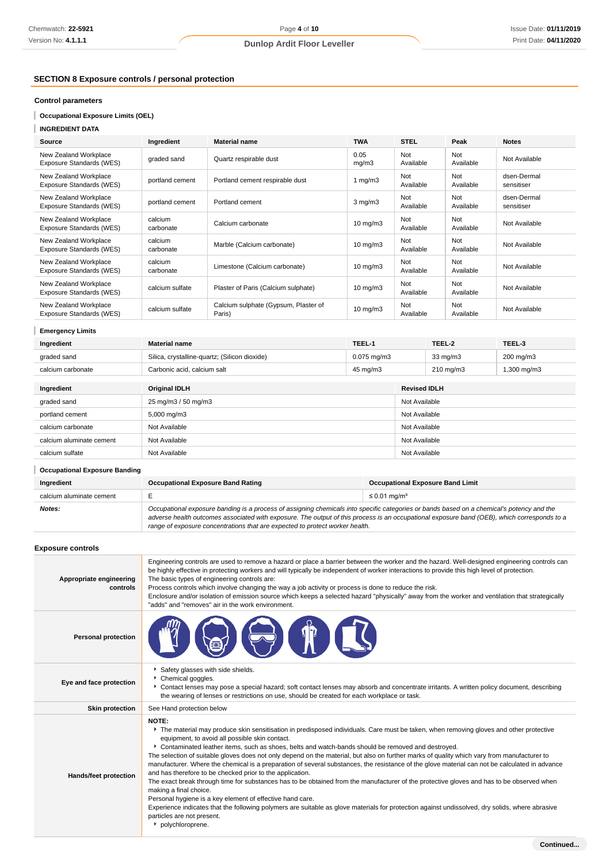# **SECTION 8 Exposure controls / personal protection**

# **Control parameters**

**Occupational Exposure Limits (OEL)**

| <b>INGREDIENT DATA</b> |  |
|------------------------|--|
|------------------------|--|

| Source                                            | Ingredient           | <b>Material name</b>                           | <b>TWA</b>        | <b>STEL</b>      | Peak             | <b>Notes</b>              |
|---------------------------------------------------|----------------------|------------------------------------------------|-------------------|------------------|------------------|---------------------------|
| New Zealand Workplace<br>Exposure Standards (WES) | graded sand          | Quartz respirable dust                         | 0.05<br>mq/m3     | Not<br>Available | Not<br>Available | Not Available             |
| New Zealand Workplace<br>Exposure Standards (WES) | portland cement      | Portland cement respirable dust                | 1 $mg/m3$         | Not<br>Available | Not<br>Available | dsen-Dermal<br>sensitiser |
| New Zealand Workplace<br>Exposure Standards (WES) | portland cement      | Portland cement                                | $3$ mg/m $3$      | Not<br>Available | Not<br>Available | dsen-Dermal<br>sensitiser |
| New Zealand Workplace<br>Exposure Standards (WES) | calcium<br>carbonate | Calcium carbonate                              | $10 \text{ mg/m}$ | Not<br>Available | Not<br>Available | Not Available             |
| New Zealand Workplace<br>Exposure Standards (WES) | calcium<br>carbonate | Marble (Calcium carbonate)                     | $10 \text{ mg/m}$ | Not<br>Available | Not<br>Available | Not Available             |
| New Zealand Workplace<br>Exposure Standards (WES) | calcium<br>carbonate | Limestone (Calcium carbonate)                  | $10 \text{ mg/m}$ | Not<br>Available | Not<br>Available | Not Available             |
| New Zealand Workplace<br>Exposure Standards (WES) | calcium sulfate      | Plaster of Paris (Calcium sulphate)            | $10 \text{ mg/m}$ | Not<br>Available | Not<br>Available | Not Available             |
| New Zealand Workplace<br>Exposure Standards (WES) | calcium sulfate      | Calcium sulphate (Gypsum, Plaster of<br>Paris) | $10$ mg/m $3$     | Not<br>Available | Not<br>Available | Not Available             |

# **Emergency Limits**

| Ingredient               | <b>Material name</b>                          | TEEL-1           |                     | TEEL-2            | TEEL-3                 |  |
|--------------------------|-----------------------------------------------|------------------|---------------------|-------------------|------------------------|--|
| graded sand              | Silica, crystalline-quartz; (Silicon dioxide) | $0.075$ mg/m $3$ |                     | $33 \text{ mg/m}$ | 200 mg/m3              |  |
| calcium carbonate        | Carbonic acid, calcium salt                   | 45 mg/m3         |                     | 210 mg/m3         | $1,300 \text{ mg/m}$ 3 |  |
|                          |                                               |                  |                     |                   |                        |  |
| Ingredient               | <b>Original IDLH</b>                          |                  | <b>Revised IDLH</b> |                   |                        |  |
| graded sand              | 25 mg/m3 / 50 mg/m3                           |                  |                     | Not Available     |                        |  |
| portland cement          | $5,000 \,\mathrm{mg/m}$                       |                  | Not Available       |                   |                        |  |
| calcium carbonate        | Not Available                                 |                  | Not Available       |                   |                        |  |
| calcium aluminate cement | Not Available                                 |                  | Not Available       |                   |                        |  |
| calcium sulfate          | Not Available                                 |                  | Not Available       |                   |                        |  |
|                          |                                               |                  |                     |                   |                        |  |

# **Occupational Exposure Banding**

| Ingredient               | Occupational Exposure Band Rating                                                                                                                                                                                                                                                        | <b>Occupational Exposure Band Limit</b> |  |
|--------------------------|------------------------------------------------------------------------------------------------------------------------------------------------------------------------------------------------------------------------------------------------------------------------------------------|-----------------------------------------|--|
| calcium aluminate cement |                                                                                                                                                                                                                                                                                          | ≤ 0.01 ma/m <sup>3</sup>                |  |
| Notes:                   | Occupational exposure banding is a process of assigning chemicals into specific categories or bands based on a chemical's potency and the<br>adverse health outcomes associated with exposure. The output of this process is an occupational exposure band (OEB), which corresponds to a |                                         |  |

adverse health outcomes associated with exposure. The output of this process is an occupational exposure band (OEB), which corresponds to a range of exposure concentrations that are expected to protect worker health.

# **Exposure controls**

| Appropriate engineering<br>controls | Engineering controls are used to remove a hazard or place a barrier between the worker and the hazard. Well-designed engineering controls can<br>be highly effective in protecting workers and will typically be independent of worker interactions to provide this high level of protection.<br>The basic types of engineering controls are:<br>Process controls which involve changing the way a job activity or process is done to reduce the risk.<br>Enclosure and/or isolation of emission source which keeps a selected hazard "physically" away from the worker and ventilation that strategically<br>"adds" and "removes" air in the work environment.                                                                                                                                                                                                                                                                                                                                                                                                                                              |
|-------------------------------------|--------------------------------------------------------------------------------------------------------------------------------------------------------------------------------------------------------------------------------------------------------------------------------------------------------------------------------------------------------------------------------------------------------------------------------------------------------------------------------------------------------------------------------------------------------------------------------------------------------------------------------------------------------------------------------------------------------------------------------------------------------------------------------------------------------------------------------------------------------------------------------------------------------------------------------------------------------------------------------------------------------------------------------------------------------------------------------------------------------------|
| <b>Personal protection</b>          |                                                                                                                                                                                                                                                                                                                                                                                                                                                                                                                                                                                                                                                                                                                                                                                                                                                                                                                                                                                                                                                                                                              |
| Eye and face protection             | Safety glasses with side shields.<br>Chemical goggles.<br>Contact lenses may pose a special hazard; soft contact lenses may absorb and concentrate irritants. A written policy document, describing<br>the wearing of lenses or restrictions on use, should be created for each workplace or task.                                                                                                                                                                                                                                                                                                                                                                                                                                                                                                                                                                                                                                                                                                                                                                                                           |
| <b>Skin protection</b>              | See Hand protection below                                                                                                                                                                                                                                                                                                                                                                                                                                                                                                                                                                                                                                                                                                                                                                                                                                                                                                                                                                                                                                                                                    |
| Hands/feet protection               | NOTE:<br>The material may produce skin sensitisation in predisposed individuals. Care must be taken, when removing gloves and other protective<br>equipment, to avoid all possible skin contact.<br>Contaminated leather items, such as shoes, belts and watch-bands should be removed and destroyed.<br>The selection of suitable gloves does not only depend on the material, but also on further marks of quality which vary from manufacturer to<br>manufacturer. Where the chemical is a preparation of several substances, the resistance of the glove material can not be calculated in advance<br>and has therefore to be checked prior to the application.<br>The exact break through time for substances has to be obtained from the manufacturer of the protective gloves and has to be observed when<br>making a final choice.<br>Personal hygiene is a key element of effective hand care.<br>Experience indicates that the following polymers are suitable as glove materials for protection against undissolved, dry solids, where abrasive<br>particles are not present.<br>polychloroprene. |
|                                     | Continued                                                                                                                                                                                                                                                                                                                                                                                                                                                                                                                                                                                                                                                                                                                                                                                                                                                                                                                                                                                                                                                                                                    |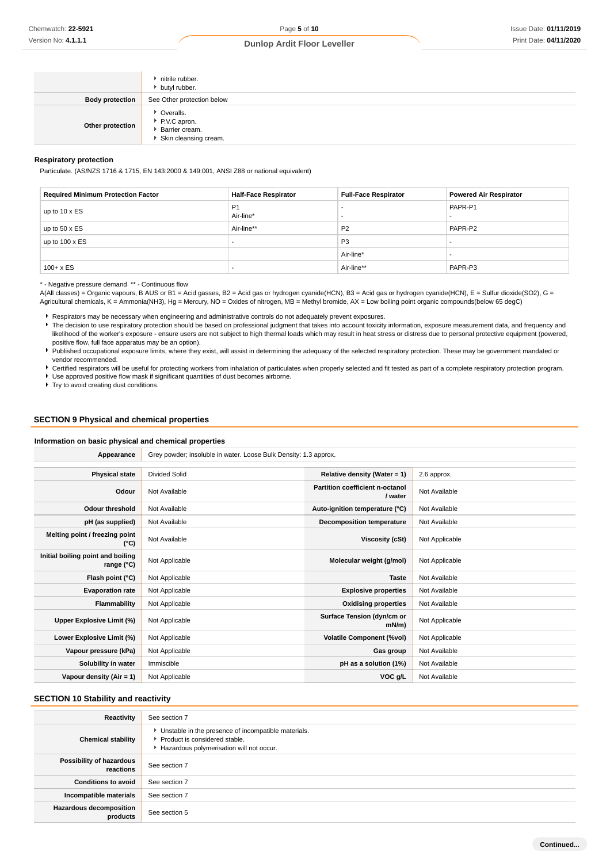|                        | nitrile rubber.<br>butyl rubber.                                       |
|------------------------|------------------------------------------------------------------------|
| <b>Body protection</b> | See Other protection below                                             |
| Other protection       | • Overalls.<br>P.V.C apron.<br>Barrier cream.<br>Skin cleansing cream. |

#### **Respiratory protection**

Particulate. (AS/NZS 1716 & 1715, EN 143:2000 & 149:001, ANSI Z88 or national equivalent)

| <b>Required Minimum Protection Factor</b> | <b>Half-Face Respirator</b> | <b>Full-Face Respirator</b> | <b>Powered Air Respirator</b> |
|-------------------------------------------|-----------------------------|-----------------------------|-------------------------------|
| up to $10 \times ES$                      | P <sub>1</sub><br>Air-line* |                             | PAPR-P1                       |
| up to $50 \times ES$                      | Air-line**                  | P <sub>2</sub>              | PAPR-P2                       |
| up to $100 \times ES$                     |                             | P <sub>3</sub>              |                               |
|                                           |                             | Air-line*                   |                               |
| $100 + x ES$                              |                             | Air-line**                  | PAPR-P3                       |

### \* - Negative pressure demand \*\* - Continuous flow

A(All classes) = Organic vapours, B AUS or B1 = Acid gasses, B2 = Acid gas or hydrogen cyanide(HCN), B3 = Acid gas or hydrogen cyanide(HCN), E = Sulfur dioxide(SO2), G = Agricultural chemicals, K = Ammonia(NH3), Hg = Mercury, NO = Oxides of nitrogen, MB = Methyl bromide, AX = Low boiling point organic compounds(below 65 degC)

Respirators may be necessary when engineering and administrative controls do not adequately prevent exposures.

The decision to use respiratory protection should be based on professional judgment that takes into account toxicity information, exposure measurement data, and frequency and likelihood of the worker's exposure - ensure users are not subject to high thermal loads which may result in heat stress or distress due to personal protective equipment (powered, positive flow, full face apparatus may be an option).

Published occupational exposure limits, where they exist, will assist in determining the adequacy of the selected respiratory protection. These may be government mandated or vendor recommended.

▶ Certified respirators will be useful for protecting workers from inhalation of particulates when properly selected and fit tested as part of a complete respiratory protection program. Use approved positive flow mask if significant quantities of dust becomes airborne.

▶ Try to avoid creating dust conditions.

### **SECTION 9 Physical and chemical properties**

#### **Information on basic physical and chemical properties**

| Appearance                                      | Grey powder; insoluble in water. Loose Bulk Density: 1.3 approx. |                                            |                |
|-------------------------------------------------|------------------------------------------------------------------|--------------------------------------------|----------------|
|                                                 |                                                                  |                                            |                |
| <b>Physical state</b>                           | <b>Divided Solid</b>                                             | Relative density (Water = $1$ )            | 2.6 approx.    |
| Odour                                           | Not Available                                                    | Partition coefficient n-octanol<br>/ water | Not Available  |
| Odour threshold                                 | Not Available                                                    | Auto-ignition temperature (°C)             | Not Available  |
| pH (as supplied)                                | Not Available                                                    | <b>Decomposition temperature</b>           | Not Available  |
| Melting point / freezing point<br>(°C)          | Not Available                                                    | Viscosity (cSt)                            | Not Applicable |
| Initial boiling point and boiling<br>range (°C) | Not Applicable                                                   | Molecular weight (g/mol)                   | Not Applicable |
| Flash point (°C)                                | Not Applicable                                                   | <b>Taste</b>                               | Not Available  |
| <b>Evaporation rate</b>                         | Not Applicable                                                   | <b>Explosive properties</b>                | Not Available  |
| Flammability                                    | Not Applicable                                                   | <b>Oxidising properties</b>                | Not Available  |
| Upper Explosive Limit (%)                       | Not Applicable                                                   | Surface Tension (dyn/cm or<br>$mN/m$ )     | Not Applicable |
| Lower Explosive Limit (%)                       | Not Applicable                                                   | <b>Volatile Component (%vol)</b>           | Not Applicable |
| Vapour pressure (kPa)                           | Not Applicable                                                   | Gas group                                  | Not Available  |
| Solubility in water                             | Immiscible                                                       | pH as a solution (1%)                      | Not Available  |
| Vapour density (Air = 1)                        | Not Applicable                                                   | VOC g/L                                    | Not Available  |

#### **SECTION 10 Stability and reactivity**

| Reactivity                                 | See section 7                                                                                                                        |
|--------------------------------------------|--------------------------------------------------------------------------------------------------------------------------------------|
| <b>Chemical stability</b>                  | • Unstable in the presence of incompatible materials.<br>▶ Product is considered stable.<br>Hazardous polymerisation will not occur. |
| Possibility of hazardous<br>reactions      | See section 7                                                                                                                        |
| <b>Conditions to avoid</b>                 | See section 7                                                                                                                        |
| Incompatible materials                     | See section 7                                                                                                                        |
| <b>Hazardous decomposition</b><br>products | See section 5                                                                                                                        |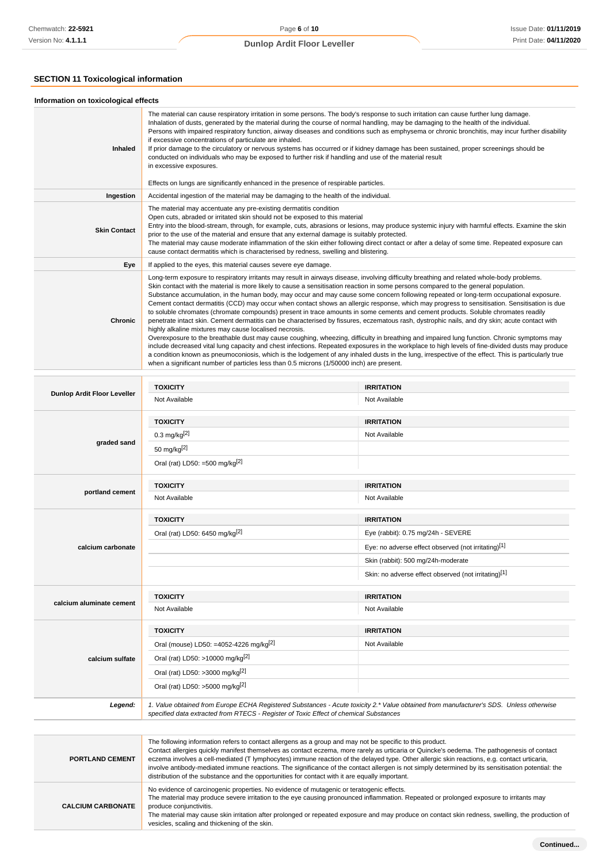# **SECTION 11 Toxicological information**

| Information on toxicological effects |                                                                                                                                                                                                                                                                                                                                                                                                                                                                                                                                                                                                                                                                                                                                                                                                                                                                                                                                                                                                                                                                                                                                                                                                                                                                                                                               |                                                                                                                                                  |
|--------------------------------------|-------------------------------------------------------------------------------------------------------------------------------------------------------------------------------------------------------------------------------------------------------------------------------------------------------------------------------------------------------------------------------------------------------------------------------------------------------------------------------------------------------------------------------------------------------------------------------------------------------------------------------------------------------------------------------------------------------------------------------------------------------------------------------------------------------------------------------------------------------------------------------------------------------------------------------------------------------------------------------------------------------------------------------------------------------------------------------------------------------------------------------------------------------------------------------------------------------------------------------------------------------------------------------------------------------------------------------|--------------------------------------------------------------------------------------------------------------------------------------------------|
| Inhaled                              | The material can cause respiratory irritation in some persons. The body's response to such irritation can cause further lung damage.<br>Inhalation of dusts, generated by the material during the course of normal handling, may be damaging to the health of the individual.<br>Persons with impaired respiratory function, airway diseases and conditions such as emphysema or chronic bronchitis, may incur further disability<br>if excessive concentrations of particulate are inhaled.<br>If prior damage to the circulatory or nervous systems has occurred or if kidney damage has been sustained, proper screenings should be<br>conducted on individuals who may be exposed to further risk if handling and use of the material result<br>in excessive exposures.                                                                                                                                                                                                                                                                                                                                                                                                                                                                                                                                                   |                                                                                                                                                  |
|                                      | Effects on lungs are significantly enhanced in the presence of respirable particles.                                                                                                                                                                                                                                                                                                                                                                                                                                                                                                                                                                                                                                                                                                                                                                                                                                                                                                                                                                                                                                                                                                                                                                                                                                          |                                                                                                                                                  |
| Ingestion                            | Accidental ingestion of the material may be damaging to the health of the individual.                                                                                                                                                                                                                                                                                                                                                                                                                                                                                                                                                                                                                                                                                                                                                                                                                                                                                                                                                                                                                                                                                                                                                                                                                                         |                                                                                                                                                  |
| <b>Skin Contact</b>                  | The material may accentuate any pre-existing dermatitis condition<br>Open cuts, abraded or irritated skin should not be exposed to this material<br>Entry into the blood-stream, through, for example, cuts, abrasions or lesions, may produce systemic injury with harmful effects. Examine the skin<br>prior to the use of the material and ensure that any external damage is suitably protected.<br>The material may cause moderate inflammation of the skin either following direct contact or after a delay of some time. Repeated exposure can<br>cause contact dermatitis which is characterised by redness, swelling and blistering.                                                                                                                                                                                                                                                                                                                                                                                                                                                                                                                                                                                                                                                                                 |                                                                                                                                                  |
| Eye                                  | If applied to the eyes, this material causes severe eye damage.                                                                                                                                                                                                                                                                                                                                                                                                                                                                                                                                                                                                                                                                                                                                                                                                                                                                                                                                                                                                                                                                                                                                                                                                                                                               |                                                                                                                                                  |
| <b>Chronic</b>                       | Long-term exposure to respiratory irritants may result in airways disease, involving difficulty breathing and related whole-body problems.<br>Skin contact with the material is more likely to cause a sensitisation reaction in some persons compared to the general population.<br>Substance accumulation, in the human body, may occur and may cause some concern following repeated or long-term occupational exposure.<br>Cement contact dermatitis (CCD) may occur when contact shows an allergic response, which may progress to sensitisation. Sensitisation is due<br>to soluble chromates (chromate compounds) present in trace amounts in some cements and cement products. Soluble chromates readily<br>penetrate intact skin. Cement dermatitis can be characterised by fissures, eczematous rash, dystrophic nails, and dry skin; acute contact with<br>highly alkaline mixtures may cause localised necrosis.<br>Overexposure to the breathable dust may cause coughing, wheezing, difficulty in breathing and impaired lung function. Chronic symptoms may<br>a condition known as pneumoconiosis, which is the lodgement of any inhaled dusts in the lung, irrespective of the effect. This is particularly true<br>when a significant number of particles less than 0.5 microns (1/50000 inch) are present. | include decreased vital lung capacity and chest infections. Repeated exposures in the workplace to high levels of fine-divided dusts may produce |
|                                      |                                                                                                                                                                                                                                                                                                                                                                                                                                                                                                                                                                                                                                                                                                                                                                                                                                                                                                                                                                                                                                                                                                                                                                                                                                                                                                                               |                                                                                                                                                  |
| <b>Dunlop Ardit Floor Leveller</b>   | <b>TOXICITY</b><br>Not Available                                                                                                                                                                                                                                                                                                                                                                                                                                                                                                                                                                                                                                                                                                                                                                                                                                                                                                                                                                                                                                                                                                                                                                                                                                                                                              | <b>IRRITATION</b><br>Not Available                                                                                                               |
|                                      | <b>TOXICITY</b>                                                                                                                                                                                                                                                                                                                                                                                                                                                                                                                                                                                                                                                                                                                                                                                                                                                                                                                                                                                                                                                                                                                                                                                                                                                                                                               | <b>IRRITATION</b>                                                                                                                                |
|                                      | $0.3$ mg/kg <sup>[2]</sup>                                                                                                                                                                                                                                                                                                                                                                                                                                                                                                                                                                                                                                                                                                                                                                                                                                                                                                                                                                                                                                                                                                                                                                                                                                                                                                    | Not Available                                                                                                                                    |
| graded sand                          | 50 mg/kg $[2]$                                                                                                                                                                                                                                                                                                                                                                                                                                                                                                                                                                                                                                                                                                                                                                                                                                                                                                                                                                                                                                                                                                                                                                                                                                                                                                                |                                                                                                                                                  |
|                                      | Oral (rat) LD50: =500 mg/kg <sup>[2]</sup>                                                                                                                                                                                                                                                                                                                                                                                                                                                                                                                                                                                                                                                                                                                                                                                                                                                                                                                                                                                                                                                                                                                                                                                                                                                                                    |                                                                                                                                                  |
|                                      | <b>TOXICITY</b>                                                                                                                                                                                                                                                                                                                                                                                                                                                                                                                                                                                                                                                                                                                                                                                                                                                                                                                                                                                                                                                                                                                                                                                                                                                                                                               | <b>IRRITATION</b>                                                                                                                                |
| portland cement                      | Not Available                                                                                                                                                                                                                                                                                                                                                                                                                                                                                                                                                                                                                                                                                                                                                                                                                                                                                                                                                                                                                                                                                                                                                                                                                                                                                                                 | Not Available                                                                                                                                    |
|                                      | <b>TOXICITY</b>                                                                                                                                                                                                                                                                                                                                                                                                                                                                                                                                                                                                                                                                                                                                                                                                                                                                                                                                                                                                                                                                                                                                                                                                                                                                                                               | <b>IRRITATION</b>                                                                                                                                |
|                                      | Oral (rat) LD50: 6450 mg/kg[2]                                                                                                                                                                                                                                                                                                                                                                                                                                                                                                                                                                                                                                                                                                                                                                                                                                                                                                                                                                                                                                                                                                                                                                                                                                                                                                | Eye (rabbit): 0.75 mg/24h - SEVERE                                                                                                               |
| calcium carbonate                    |                                                                                                                                                                                                                                                                                                                                                                                                                                                                                                                                                                                                                                                                                                                                                                                                                                                                                                                                                                                                                                                                                                                                                                                                                                                                                                                               | Eye: no adverse effect observed (not irritating)[1]                                                                                              |
|                                      |                                                                                                                                                                                                                                                                                                                                                                                                                                                                                                                                                                                                                                                                                                                                                                                                                                                                                                                                                                                                                                                                                                                                                                                                                                                                                                                               | Skin (rabbit): 500 mg/24h-moderate                                                                                                               |
|                                      |                                                                                                                                                                                                                                                                                                                                                                                                                                                                                                                                                                                                                                                                                                                                                                                                                                                                                                                                                                                                                                                                                                                                                                                                                                                                                                                               | Skin: no adverse effect observed (not irritating)[1]                                                                                             |
|                                      | <b>TOXICITY</b>                                                                                                                                                                                                                                                                                                                                                                                                                                                                                                                                                                                                                                                                                                                                                                                                                                                                                                                                                                                                                                                                                                                                                                                                                                                                                                               | <b>IRRITATION</b>                                                                                                                                |
| calcium aluminate cement             | Not Available                                                                                                                                                                                                                                                                                                                                                                                                                                                                                                                                                                                                                                                                                                                                                                                                                                                                                                                                                                                                                                                                                                                                                                                                                                                                                                                 | Not Available                                                                                                                                    |

| calcium sulfate        | <b>TOXICITY</b>                                                                                                                                                                                                                                                                                                                                                                                                                                                                                                                                             | <b>IRRITATION</b> |  |
|------------------------|-------------------------------------------------------------------------------------------------------------------------------------------------------------------------------------------------------------------------------------------------------------------------------------------------------------------------------------------------------------------------------------------------------------------------------------------------------------------------------------------------------------------------------------------------------------|-------------------|--|
|                        | Oral (mouse) LD50: =4052-4226 mg/kg <sup>[2]</sup>                                                                                                                                                                                                                                                                                                                                                                                                                                                                                                          | Not Available     |  |
|                        | Oral (rat) LD50: >10000 mg/kg <sup>[2]</sup>                                                                                                                                                                                                                                                                                                                                                                                                                                                                                                                |                   |  |
|                        | Oral (rat) LD50: >3000 mg/kg <sup>[2]</sup>                                                                                                                                                                                                                                                                                                                                                                                                                                                                                                                 |                   |  |
|                        | Oral (rat) LD50: >5000 mg/kg <sup>[2]</sup>                                                                                                                                                                                                                                                                                                                                                                                                                                                                                                                 |                   |  |
| Legend:                | 1. Value obtained from Europe ECHA Registered Substances - Acute toxicity 2.* Value obtained from manufacturer's SDS. Unless otherwise<br>specified data extracted from RTECS - Register of Toxic Effect of chemical Substances                                                                                                                                                                                                                                                                                                                             |                   |  |
|                        |                                                                                                                                                                                                                                                                                                                                                                                                                                                                                                                                                             |                   |  |
| <b>PORTLAND CEMENT</b> | The following information refers to contact allergens as a group and may not be specific to this product.<br>Contact allergies quickly manifest themselves as contact eczema, more rarely as urticaria or Quincke's oedema. The pathogenesis of contact<br>eczema involves a cell-mediated (T lymphocytes) immune reaction of the delayed type. Other allergic skin reactions, e.g. contact urticaria,<br>involve antibody-mediated immune reactions. The significance of the contact allergen is not simply determined by its sensitisation potential: the |                   |  |

involve antibody-mediated immune reactions. The significance of the contact allergen is not simply determined by its sensitisation potential: the distribution of the substance and the opportunities for contact with it are equally important. **CALCIUM CARBONATE** No evidence of carcinogenic properties. No evidence of mutagenic or teratogenic effects. The material may produce severe irritation to the eye causing pronounced inflammation. Repeated or prolonged exposure to irritants may produce conjunctivitis.

The material may cause skin irritation after prolonged or repeated exposure and may produce on contact skin redness, swelling, the production of vesicles, scaling and thickening of the skin.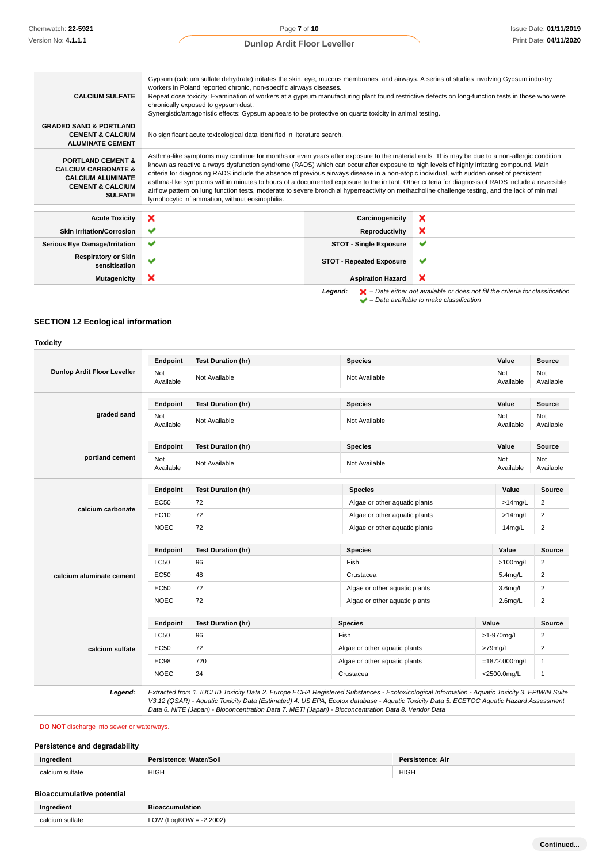| <b>GRADED SAND &amp; PORTLAND</b><br><b>CEMENT &amp; CALCIUM</b><br>No significant acute toxicological data identified in literature search.<br><b>ALUMINATE CEMENT</b><br><b>PORTLAND CEMENT &amp;</b><br>known as reactive airways dysfunction syndrome (RADS) which can occur after exposure to high levels of highly irritating compound. Main<br><b>CALCIUM CARBONATE &amp;</b><br>criteria for diagnosing RADS include the absence of previous airways disease in a non-atopic individual, with sudden onset of persistent<br><b>CALCIUM ALUMINATE</b><br><b>CEMENT &amp; CALCIUM</b><br><b>SULFATE</b><br>lymphocytic inflammation, without eosinophilia.<br>×<br>×<br>Carcinogenicity<br><b>Acute Toxicity</b><br>×<br>✔<br><b>Skin Irritation/Corrosion</b><br>Reproductivity<br>✔<br>✔<br><b>STOT - Single Exposure</b><br><b>Serious Eye Damage/Irritation</b> | <b>CALCIUM SULFATE</b> | Gypsum (calcium sulfate dehydrate) irritates the skin, eye, mucous membranes, and airways. A series of studies involving Gypsum industry<br>workers in Poland reported chronic, non-specific airways diseases.<br>Repeat dose toxicity: Examination of workers at a gypsum manufacturing plant found restrictive defects on long-function tests in those who were<br>chronically exposed to gypsum dust.<br>Synergistic/antagonistic effects: Gypsum appears to be protective on quartz toxicity in animal testing. |  |  |
|---------------------------------------------------------------------------------------------------------------------------------------------------------------------------------------------------------------------------------------------------------------------------------------------------------------------------------------------------------------------------------------------------------------------------------------------------------------------------------------------------------------------------------------------------------------------------------------------------------------------------------------------------------------------------------------------------------------------------------------------------------------------------------------------------------------------------------------------------------------------------|------------------------|---------------------------------------------------------------------------------------------------------------------------------------------------------------------------------------------------------------------------------------------------------------------------------------------------------------------------------------------------------------------------------------------------------------------------------------------------------------------------------------------------------------------|--|--|
|                                                                                                                                                                                                                                                                                                                                                                                                                                                                                                                                                                                                                                                                                                                                                                                                                                                                           |                        |                                                                                                                                                                                                                                                                                                                                                                                                                                                                                                                     |  |  |
|                                                                                                                                                                                                                                                                                                                                                                                                                                                                                                                                                                                                                                                                                                                                                                                                                                                                           |                        | Asthma-like symptoms may continue for months or even years after exposure to the material ends. This may be due to a non-allergic condition<br>asthma-like symptoms within minutes to hours of a documented exposure to the irritant. Other criteria for diagnosis of RADS include a reversible<br>airflow pattern on lung function tests, moderate to severe bronchial hyperreactivity on methacholine challenge testing, and the lack of minimal                                                                  |  |  |
|                                                                                                                                                                                                                                                                                                                                                                                                                                                                                                                                                                                                                                                                                                                                                                                                                                                                           |                        |                                                                                                                                                                                                                                                                                                                                                                                                                                                                                                                     |  |  |
|                                                                                                                                                                                                                                                                                                                                                                                                                                                                                                                                                                                                                                                                                                                                                                                                                                                                           |                        |                                                                                                                                                                                                                                                                                                                                                                                                                                                                                                                     |  |  |
|                                                                                                                                                                                                                                                                                                                                                                                                                                                                                                                                                                                                                                                                                                                                                                                                                                                                           |                        |                                                                                                                                                                                                                                                                                                                                                                                                                                                                                                                     |  |  |
| <b>Respiratory or Skin</b><br>$\checkmark$<br>$\checkmark$<br><b>STOT - Repeated Exposure</b><br>sensitisation                                                                                                                                                                                                                                                                                                                                                                                                                                                                                                                                                                                                                                                                                                                                                            |                        |                                                                                                                                                                                                                                                                                                                                                                                                                                                                                                                     |  |  |
| ×<br>×<br><b>Mutagenicity</b><br><b>Aspiration Hazard</b>                                                                                                                                                                                                                                                                                                                                                                                                                                                                                                                                                                                                                                                                                                                                                                                                                 |                        |                                                                                                                                                                                                                                                                                                                                                                                                                                                                                                                     |  |  |

– Data available to make classification

**SECTION 12 Ecological information**

|                                    | Endpoint         | <b>Test Duration (hr)</b> | <b>Species</b>                                                                                                                                | Value               | <b>Source</b>           |
|------------------------------------|------------------|---------------------------|-----------------------------------------------------------------------------------------------------------------------------------------------|---------------------|-------------------------|
| <b>Dunlop Ardit Floor Leveller</b> | Not<br>Available | Not Available             | Not Available                                                                                                                                 | Not<br>Available    | Not<br>Available        |
|                                    | Endpoint         | <b>Test Duration (hr)</b> | <b>Species</b>                                                                                                                                | Value               | <b>Source</b>           |
| graded sand                        | Not<br>Available | Not Available             | Not Available                                                                                                                                 | Not<br>Available    | Not<br>Available        |
|                                    | Endpoint         | <b>Test Duration (hr)</b> | <b>Species</b>                                                                                                                                | Value               | <b>Source</b>           |
| portland cement                    | Not<br>Available | Not Available             | Not Available                                                                                                                                 | Not<br>Available    | Not<br>Available        |
|                                    | Endpoint         | <b>Test Duration (hr)</b> | <b>Species</b>                                                                                                                                | Value               | Source                  |
|                                    | <b>EC50</b>      | 72                        | Algae or other aquatic plants                                                                                                                 | $>14$ mg/L          | 2                       |
| calcium carbonate                  | EC10             | 72                        | Algae or other aquatic plants                                                                                                                 | $>14$ mg/L          | $\overline{2}$          |
|                                    | <b>NOEC</b>      | 72                        | Algae or other aquatic plants                                                                                                                 | 14 <sub>mg/L</sub>  | $\overline{2}$          |
|                                    | Endpoint         | <b>Test Duration (hr)</b> | <b>Species</b>                                                                                                                                | Value               | Source                  |
|                                    | <b>LC50</b>      | 96                        | Fish                                                                                                                                          | $>100$ mg/L         | $\overline{\mathbf{c}}$ |
| calcium aluminate cement           | <b>EC50</b>      | 48                        | Crustacea                                                                                                                                     | 5.4mg/L             | $\overline{2}$          |
|                                    | EC50             | 72                        | Algae or other aquatic plants                                                                                                                 | 3.6 <sub>mq/L</sub> | 2                       |
|                                    | <b>NOEC</b>      | 72                        | Algae or other aquatic plants                                                                                                                 | $2.6$ mg/L          | $\overline{2}$          |
|                                    | Endpoint         | <b>Test Duration (hr)</b> | <b>Species</b>                                                                                                                                | Value               | <b>Source</b>           |
| calcium sulfate                    | <b>LC50</b>      | 96                        | Fish                                                                                                                                          | >1-970mg/L          | $\overline{2}$          |
|                                    | <b>EC50</b>      | 72                        | Algae or other aquatic plants                                                                                                                 | >79mg/L             | 2                       |
|                                    | EC98             | 720                       | Algae or other aquatic plants                                                                                                                 | =1872.000mg/L       | $\mathbf{1}$            |
|                                    | <b>NOEC</b>      | 24                        | Crustacea                                                                                                                                     | <2500.0mg/L         | $\mathbf{1}$            |
| Legend:                            |                  |                           | Extracted from 1. IUCLID Toxicity Data 2. Europe ECHA Registered Substances - Ecotoxicological Information - Aquatic Toxicity 3. EPIWIN Suite |                     |                         |

**DO NOT** discharge into sewer or waterways.

# **Persistence and degradability**

| Ingredient      | Persistence: Water/Soil | <b>Persistence: Air</b> |
|-----------------|-------------------------|-------------------------|
| calcium sulfate | HIGH                    | <b>HIGH</b>             |

# **Bioaccumulative potential Ingredient Bioaccumulation** calcium sulfate  $\vert$  LOW (LogKOW = -2.2002)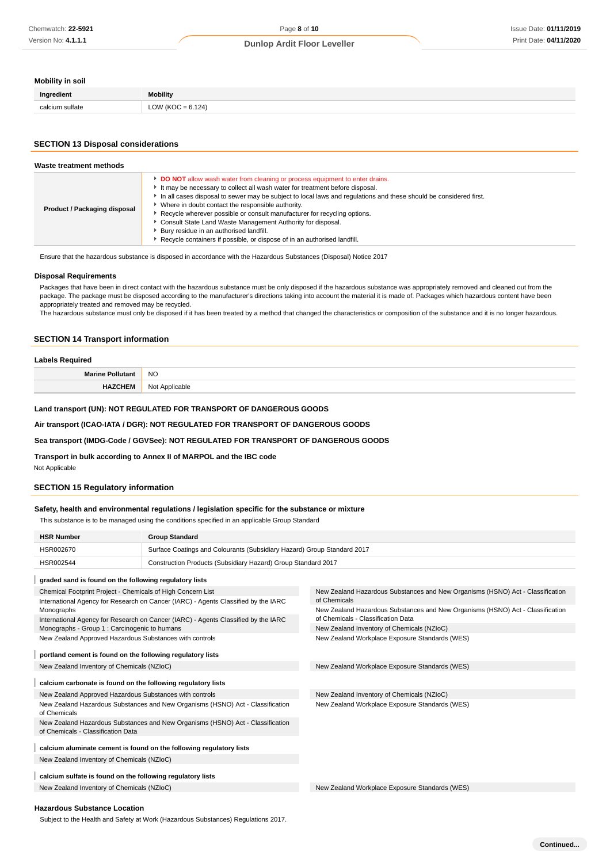## **Mobility in soil**

| Ingredient                | <b>Mobility</b>    |
|---------------------------|--------------------|
| col.<br>$\cdots$ $\cdots$ | 124<br>∽<br>$\sim$ |

### **SECTION 13 Disposal considerations**

| Waste treatment methods      |                                                                                                                                                                                                                                                                                                                                                                                                                                                                                                                                                                                                           |
|------------------------------|-----------------------------------------------------------------------------------------------------------------------------------------------------------------------------------------------------------------------------------------------------------------------------------------------------------------------------------------------------------------------------------------------------------------------------------------------------------------------------------------------------------------------------------------------------------------------------------------------------------|
| Product / Packaging disposal | DO NOT allow wash water from cleaning or process equipment to enter drains.<br>It may be necessary to collect all wash water for treatment before disposal.<br>In all cases disposal to sewer may be subject to local laws and regulations and these should be considered first.<br>Where in doubt contact the responsible authority.<br>▶ Recycle wherever possible or consult manufacturer for recycling options.<br>Consult State Land Waste Management Authority for disposal.<br>Bury residue in an authorised landfill.<br>Recycle containers if possible, or dispose of in an authorised landfill. |

Ensure that the hazardous substance is disposed in accordance with the Hazardous Substances (Disposal) Notice 2017

#### **Disposal Requirements**

Packages that have been in direct contact with the hazardous substance must be only disposed if the hazardous substance was appropriately removed and cleaned out from the package. The package must be disposed according to the manufacturer's directions taking into account the material it is made of. Packages which hazardous content have been appropriately treated and removed may be recycled.

The hazardous substance must only be disposed if it has been treated by a method that changed the characteristics or composition of the substance and it is no longer hazardous.

#### **SECTION 14 Transport information**

| aho                  |                           |
|----------------------|---------------------------|
| <b>Marine Pollut</b> | <b>NO</b>                 |
| 1 C IV               | Applicable<br>N∩t<br>ושצו |

### **Land transport (UN): NOT REGULATED FOR TRANSPORT OF DANGEROUS GOODS**

### **Air transport (ICAO-IATA / DGR): NOT REGULATED FOR TRANSPORT OF DANGEROUS GOODS**

### **Sea transport (IMDG-Code / GGVSee): NOT REGULATED FOR TRANSPORT OF DANGEROUS GOODS**

**Transport in bulk according to Annex II of MARPOL and the IBC code**

# Not Applicable

### **SECTION 15 Regulatory information**

# **Safety, health and environmental regulations / legislation specific for the substance or mixture**

This substance is to be managed using the conditions specified in an applicable Group Standard

| <b>HSR Number</b>                                                                                                    | <b>Group Standard</b>                                                              |                                                                                                                      |  |
|----------------------------------------------------------------------------------------------------------------------|------------------------------------------------------------------------------------|----------------------------------------------------------------------------------------------------------------------|--|
| HSR002670                                                                                                            | Surface Coatings and Colourants (Subsidiary Hazard) Group Standard 2017            |                                                                                                                      |  |
| HSR002544                                                                                                            | Construction Products (Subsidiary Hazard) Group Standard 2017                      |                                                                                                                      |  |
| graded sand is found on the following regulatory lists                                                               |                                                                                    |                                                                                                                      |  |
| Chemical Footprint Project - Chemicals of High Concern List                                                          | International Agency for Research on Cancer (IARC) - Agents Classified by the IARC | New Zealand Hazardous Substances and New Organisms (HSNO) Act - Classification<br>of Chemicals                       |  |
| Monographs                                                                                                           | International Agency for Research on Cancer (IARC) - Agents Classified by the IARC | New Zealand Hazardous Substances and New Organisms (HSNO) Act - Classification<br>of Chemicals - Classification Data |  |
| Monographs - Group 1 : Carcinogenic to humans                                                                        |                                                                                    | New Zealand Inventory of Chemicals (NZIoC)                                                                           |  |
| New Zealand Approved Hazardous Substances with controls                                                              |                                                                                    | New Zealand Workplace Exposure Standards (WES)                                                                       |  |
| portland cement is found on the following regulatory lists                                                           |                                                                                    |                                                                                                                      |  |
| New Zealand Inventory of Chemicals (NZIoC)                                                                           |                                                                                    | New Zealand Workplace Exposure Standards (WES)                                                                       |  |
| calcium carbonate is found on the following regulatory lists                                                         |                                                                                    |                                                                                                                      |  |
| New Zealand Approved Hazardous Substances with controls                                                              |                                                                                    | New Zealand Inventory of Chemicals (NZIoC)                                                                           |  |
| New Zealand Hazardous Substances and New Organisms (HSNO) Act - Classification<br>of Chemicals                       |                                                                                    | New Zealand Workplace Exposure Standards (WES)                                                                       |  |
| New Zealand Hazardous Substances and New Organisms (HSNO) Act - Classification<br>of Chemicals - Classification Data |                                                                                    |                                                                                                                      |  |
| calcium aluminate cement is found on the following regulatory lists                                                  |                                                                                    |                                                                                                                      |  |
| New Zealand Inventory of Chemicals (NZIoC)                                                                           |                                                                                    |                                                                                                                      |  |
| calcium sulfate is found on the following regulatory lists                                                           |                                                                                    |                                                                                                                      |  |
| New Zealand Inventory of Chemicals (NZIoC)                                                                           |                                                                                    | New Zealand Workplace Exposure Standards (WES)                                                                       |  |
|                                                                                                                      |                                                                                    |                                                                                                                      |  |

#### **Hazardous Substance Location**

Subject to the Health and Safety at Work (Hazardous Substances) Regulations 2017.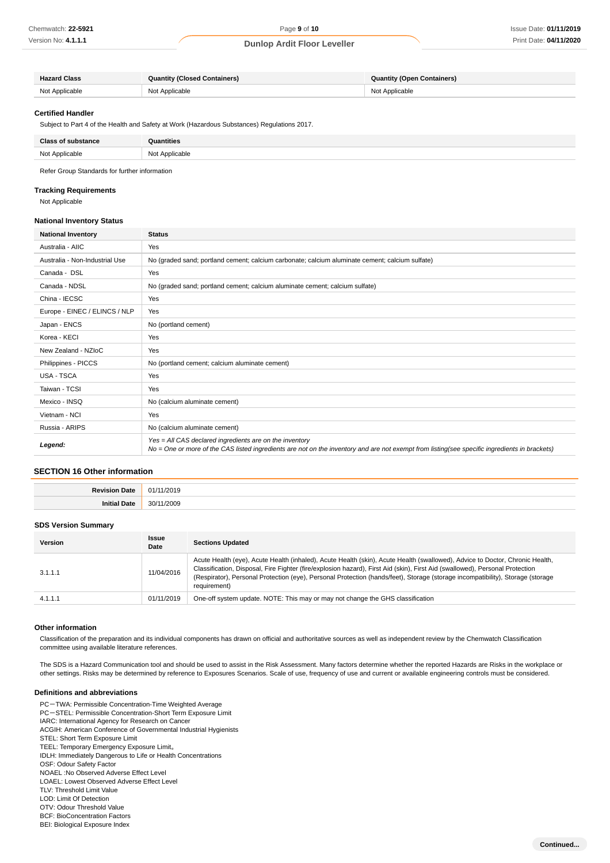| <b>Hazard Class</b> | <b>Quantity (Closed Containers)</b> | <b>Quantity (Open Containers)</b> |
|---------------------|-------------------------------------|-----------------------------------|
| Not Applicable      | Not Applicable                      | Not Applicable                    |

#### **Certified Handler**

Subject to Part 4 of the Health and Safety at Work (Hazardous Substances) Regulations 2017.

| <b>Class of substance</b> | <b>Quantities</b> |
|---------------------------|-------------------|
| Not Applicable            | Not Applicable    |

Refer Group Standards for further information

#### **Tracking Requirements**

Not Applicable

#### **National Inventory Status**

| <b>National Inventory</b>      | <b>Status</b>                                                                                                                                                                                            |
|--------------------------------|----------------------------------------------------------------------------------------------------------------------------------------------------------------------------------------------------------|
| Australia - AIIC               | Yes                                                                                                                                                                                                      |
| Australia - Non-Industrial Use | No (graded sand; portland cement; calcium carbonate; calcium aluminate cement; calcium sulfate)                                                                                                          |
| Canada - DSL                   | Yes                                                                                                                                                                                                      |
| Canada - NDSL                  | No (graded sand; portland cement; calcium aluminate cement; calcium sulfate)                                                                                                                             |
| China - IECSC                  | Yes                                                                                                                                                                                                      |
| Europe - EINEC / ELINCS / NLP  | Yes                                                                                                                                                                                                      |
| Japan - ENCS                   | No (portland cement)                                                                                                                                                                                     |
| Korea - KECI                   | Yes                                                                                                                                                                                                      |
| New Zealand - NZIoC            | Yes                                                                                                                                                                                                      |
| Philippines - PICCS            | No (portland cement; calcium aluminate cement)                                                                                                                                                           |
| <b>USA - TSCA</b>              | Yes                                                                                                                                                                                                      |
| Taiwan - TCSI                  | Yes                                                                                                                                                                                                      |
| Mexico - INSQ                  | No (calcium aluminate cement)                                                                                                                                                                            |
| Vietnam - NCI                  | Yes                                                                                                                                                                                                      |
| Russia - ARIPS                 | No (calcium aluminate cement)                                                                                                                                                                            |
| Legend:                        | Yes = All CAS declared ingredients are on the inventory<br>No = One or more of the CAS listed ingredients are not on the inventory and are not exempt from listing(see specific ingredients in brackets) |

### **SECTION 16 Other information**

| . . | n.<br>- 17<br>.                      |
|-----|--------------------------------------|
|     | 30 <sup>1</sup><br>^^^<br><br>.<br>. |

#### **SDS Version Summary**

| <b>Version</b> | <b>Issue</b><br>Date | <b>Sections Updated</b>                                                                                                                                                                                                                                                                                                                                                                                        |
|----------------|----------------------|----------------------------------------------------------------------------------------------------------------------------------------------------------------------------------------------------------------------------------------------------------------------------------------------------------------------------------------------------------------------------------------------------------------|
| 3.1.1.1        | 11/04/2016           | Acute Health (eye), Acute Health (inhaled), Acute Health (skin), Acute Health (swallowed), Advice to Doctor, Chronic Health,<br>Classification, Disposal, Fire Fighter (fire/explosion hazard), First Aid (skin), First Aid (swallowed), Personal Protection<br>(Respirator), Personal Protection (eye), Personal Protection (hands/feet), Storage (storage incompatibility), Storage (storage<br>requirement) |
| 4.1.1.1        | 01/11/2019           | One-off system update. NOTE: This may or may not change the GHS classification                                                                                                                                                                                                                                                                                                                                 |

#### **Other information**

Classification of the preparation and its individual components has drawn on official and authoritative sources as well as independent review by the Chemwatch Classification committee using available literature references.

The SDS is a Hazard Communication tool and should be used to assist in the Risk Assessment. Many factors determine whether the reported Hazards are Risks in the workplace or other settings. Risks may be determined by reference to Exposures Scenarios. Scale of use, frequency of use and current or available engineering controls must be considered.

### **Definitions and abbreviations**

- PC-TWA: Permissible Concentration-Time Weighted Average PC-STEL: Permissible Concentration-Short Term Exposure Limit IARC: International Agency for Research on Cancer ACGIH: American Conference of Governmental Industrial Hygienists STEL: Short Term Exposure Limit TEEL: Temporary Emergency Exposure Limit。 IDLH: Immediately Dangerous to Life or Health Concentrations OSF: Odour Safety Factor NOAEL :No Observed Adverse Effect Level LOAEL: Lowest Observed Adverse Effect Level TLV: Threshold Limit Value LOD: Limit Of Detection OTV: Odour Threshold Value BCF: BioConcentration Factors
- BEI: Biological Exposure Index